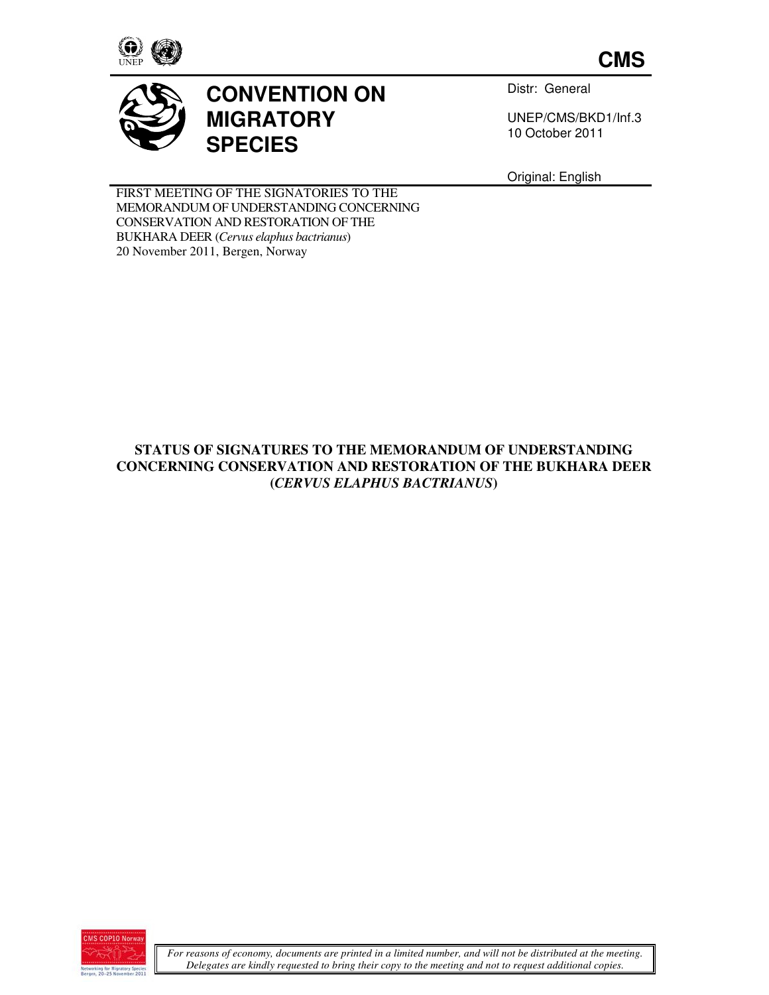

**CMS**



## **CONVENTION ON MIGRATORY SPECIES**

Distr: General

UNEP/CMS/BKD1/Inf.3 10 October 2011

Original: English

FIRST MEETING OF THE SIGNATORIES TO THE MEMORANDUM OF UNDERSTANDING CONCERNING CONSERVATION AND RESTORATION OF THE BUKHARA DEER (*Cervus elaphus bactrianus*) 20 November 2011, Bergen, Norway

## **STATUS OF SIGNATURES TO THE MEMORANDUM OF UNDERSTANDING CONCERNING CONSERVATION AND RESTORATION OF THE BUKHARA DEER (***CERVUS ELAPHUS BACTRIANUS***)**

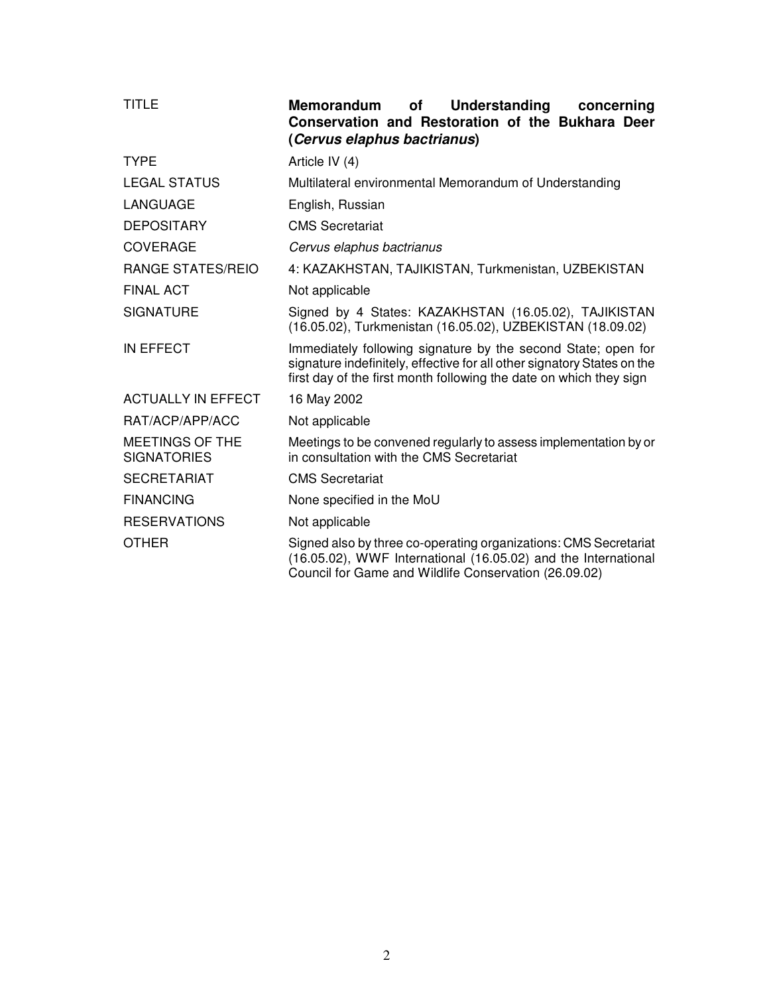| <b>TITLE</b>                                 | <b>Understanding</b><br>Memorandum<br><b>of</b><br>concerning<br>Conservation and Restoration of the Bukhara Deer<br>(Cervus elaphus bactrianus)                                                               |
|----------------------------------------------|----------------------------------------------------------------------------------------------------------------------------------------------------------------------------------------------------------------|
| <b>TYPE</b>                                  | Article IV (4)                                                                                                                                                                                                 |
| <b>LEGAL STATUS</b>                          | Multilateral environmental Memorandum of Understanding                                                                                                                                                         |
| <b>LANGUAGE</b>                              | English, Russian                                                                                                                                                                                               |
| <b>DEPOSITARY</b>                            | <b>CMS Secretariat</b>                                                                                                                                                                                         |
| COVERAGE                                     | Cervus elaphus bactrianus                                                                                                                                                                                      |
| <b>RANGE STATES/REIO</b>                     | 4: KAZAKHSTAN, TAJIKISTAN, Turkmenistan, UZBEKISTAN                                                                                                                                                            |
| <b>FINAL ACT</b>                             | Not applicable                                                                                                                                                                                                 |
| <b>SIGNATURE</b>                             | Signed by 4 States: KAZAKHSTAN (16.05.02), TAJIKISTAN<br>(16.05.02), Turkmenistan (16.05.02), UZBEKISTAN (18.09.02)                                                                                            |
| <b>IN EFFECT</b>                             | Immediately following signature by the second State; open for<br>signature indefinitely, effective for all other signatory States on the<br>first day of the first month following the date on which they sign |
| <b>ACTUALLY IN EFFECT</b>                    | 16 May 2002                                                                                                                                                                                                    |
| RAT/ACP/APP/ACC                              | Not applicable                                                                                                                                                                                                 |
| <b>MEETINGS OF THE</b><br><b>SIGNATORIES</b> | Meetings to be convened regularly to assess implementation by or<br>in consultation with the CMS Secretariat                                                                                                   |
| <b>SECRETARIAT</b>                           | <b>CMS</b> Secretariat                                                                                                                                                                                         |
| <b>FINANCING</b>                             | None specified in the MoU                                                                                                                                                                                      |
| <b>RESERVATIONS</b>                          | Not applicable                                                                                                                                                                                                 |
| <b>OTHER</b>                                 | Signed also by three co-operating organizations: CMS Secretariat<br>(16.05.02), WWF International (16.05.02) and the International<br>Council for Game and Wildlife Conservation (26.09.02)                    |